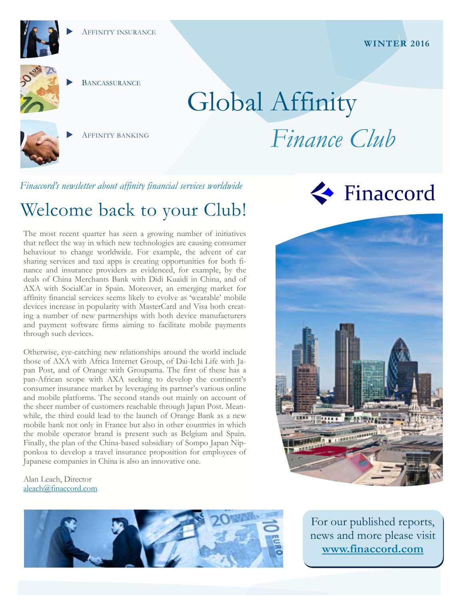

**BANCASSURANCE** 

AFFINITY BANKING

# Global Affinity *Finance Club*

*Finaccord's newsletter about affinity financial services worldwide* 

# Welcome back to your Club!

The most recent quarter has seen a growing number of initiatives that reflect the way in which new technologies are causing consumer behaviour to change worldwide. For example, the advent of car sharing services and taxi apps is creating opportunities for both finance and insurance providers as evidenced, for example, by the deals of China Merchants Bank with Didi Kuaidi in China, and of AXA with SocialCar in Spain. Moreover, an emerging market for affinity financial services seems likely to evolve as 'wearable' mobile devices increase in popularity with MasterCard and Visa both creating a number of new partnerships with both device manufacturers and payment software firms aiming to facilitate mobile payments through such devices.

Otherwise, eye-catching new relationships around the world include those of AXA with Africa Internet Group, of Dai-Ichi Life with Japan Post, and of Orange with Groupama. The first of these has a pan-African scope with AXA seeking to develop the continent's consumer insurance market by leveraging its partner's various online and mobile platforms. The second stands out mainly on account of the sheer number of customers reachable through Japan Post. Meanwhile, the third could lead to the launch of Orange Bank as a new mobile bank not only in France but also in other countries in which the mobile operator brand is present such as Belgium and Spain. Finally, the plan of the China-based subsidiary of Sompo Japan Nipponkoa to develop a travel insurance proposition for employees of Japanese companies in China is also an innovative one.

Alan Leach, Director aleach@finaccord.com



Finaccord

<u>an gujuan n</u>

For our published reports, news and more please visit **www.finaccord.com**

#### **WINTER 2016**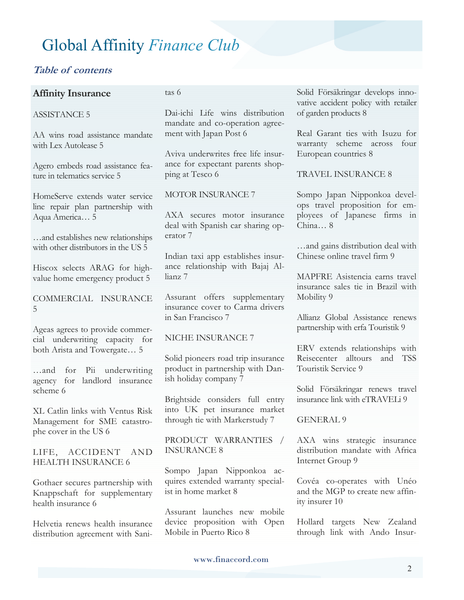#### **Table of contents**

#### **Affinity Insurance**

#### ASSISTANCE 5

AA wins road assistance mandate with Lex Autolease 5

Agero embeds road assistance feature in telematics service 5

HomeServe extends water service line repair plan partnership with Aqua America… 5

…and establishes new relationships with other distributors in the US 5

Hiscox selects ARAG for highvalue home emergency product 5

COMMERCIAL INSURANCE 5

Ageas agrees to provide commercial underwriting capacity for both Arista and Towergate… 5

…and for Pii underwriting agency for landlord insurance scheme 6

XL Catlin links with Ventus Risk Management for SME catastrophe cover in the US 6

LIFE, ACCIDENT AND HEALTH INSURANCE 6

Gothaer secures partnership with Knappschaft for supplementary health insurance 6

Helvetia renews health insurance distribution agreement with Sanitas 6

Dai-ichi Life wins distribution mandate and co-operation agreement with Japan Post 6

Aviva underwrites free life insurance for expectant parents shopping at Tesco 6

#### MOTOR INSURANCE 7

AXA secures motor insurance deal with Spanish car sharing operator 7

Indian taxi app establishes insurance relationship with Bajaj Allianz 7

Assurant offers supplementary insurance cover to Carma drivers in San Francisco 7

#### NICHE INSURANCE 7

Solid pioneers road trip insurance product in partnership with Danish holiday company 7

Brightside considers full entry into UK pet insurance market through tie with Markerstudy 7

PRODUCT WARRANTIES / INSURANCE 8

Sompo Japan Nipponkoa acquires extended warranty specialist in home market 8

Assurant launches new mobile device proposition with Open Mobile in Puerto Rico 8

Solid Försäkringar develops innovative accident policy with retailer of garden products 8

Real Garant ties with Isuzu for warranty scheme across four European countries 8

TRAVEL INSURANCE 8

Sompo Japan Nipponkoa develops travel proposition for employees of Japanese firms in China… 8

…and gains distribution deal with Chinese online travel firm 9

MAPFRE Asistencia earns travel insurance sales tie in Brazil with Mobility 9

Allianz Global Assistance renews partnership with erfa Touristik 9

ERV extends relationships with Reisecenter alltours and TSS Touristik Service 9

Solid Försäkringar renews travel insurance link with eTRAVELi 9

#### GENERAL 9

AXA wins strategic insurance distribution mandate with Africa Internet Group 9

Covéa co-operates with Unéo and the MGP to create new affinity insurer 10

Hollard targets New Zealand through link with Ando Insur-

www.finaccord.com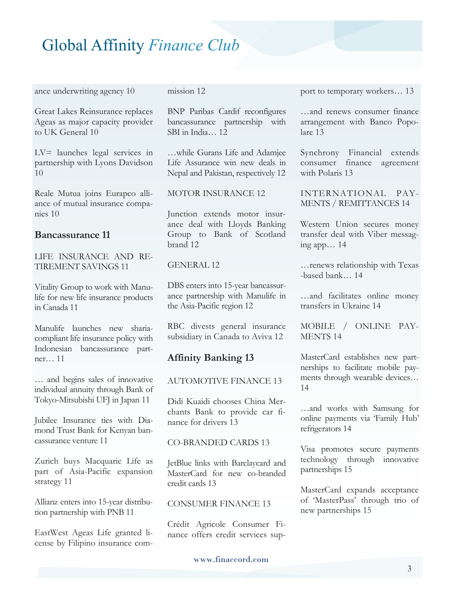ance underwriting agency 10

Great Lakes Reinsurance replaces Ageas as major capacity provider to UK General 10

LV= launches legal services in partnership with Lyons Davidson 10

Reale Mutua joins Eurapco alliance of mutual insurance companies 10

#### **Bancassurance 11**

LIFE INSURANCE AND RE-TIREMENT SAVINGS 11

Vitality Group to work with Manulife for new life insurance products in Canada 11

Manulife launches new shariacompliant life insurance policy with Indonesian bancassurance partner… 11

… and begins sales of innovative individual annuity through Bank of Tokyo-Mitsubishi UFJ in Japan 11

Jubilee Insurance ties with Diamond Trust Bank for Kenyan bancassurance venture 11

Zurich buys Macquarie Life as part of Asia-Pacific expansion strategy 11

Allianz enters into 15-year distribution partnership with PNB 11

EastWest Ageas Life granted license by Filipino insurance commission 12

BNP Paribas Cardif reconfigures bancassurance partnership with SBI in India… 12

…while Gurans Life and Adamjee Life Assurance win new deals in Nepal and Pakistan, respectively 12

#### MOTOR INSURANCE 12

Junction extends motor insurance deal with Lloyds Banking Group to Bank of Scotland brand 12

#### GENERAL 12

DBS enters into 15-year bancassurance partnership with Manulife in the Asia-Pacific region 12

RBC divests general insurance subsidiary in Canada to Aviva 12

#### **Affinity Banking 13**

#### AUTOMOTIVE FINANCE 13

Didi Kuaidi chooses China Merchants Bank to provide car finance for drivers 13

#### CO-BRANDED CARDS 13

JetBlue links with Barclaycard and MasterCard for new co-branded credit cards 13

#### CONSUMER FINANCE 13

Crédit Agricole Consumer Finance offers credit services support to temporary workers… 13

…and renews consumer finance arrangement with Banco Popolare 13

Synchrony Financial extends consumer finance agreement with Polaris 13

INTERNATIONAL PAY-MENTS / REMITTANCES 14

Western Union secures money transfer deal with Viber messaging app… 14

…renews relationship with Texas -based bank… 14

…and facilitates online money transfers in Ukraine 14

MOBILE / ONLINE PAY-MENTS 14

MasterCard establishes new partnerships to facilitate mobile payments through wearable devices… 14

…and works with Samsung for online payments via 'Family Hub' refrigerators 14

Visa promotes secure payments technology through innovative partnerships 15

MasterCard expands acceptance of 'MasterPass' through trio of new partnerships 15

#### www.finaccord.com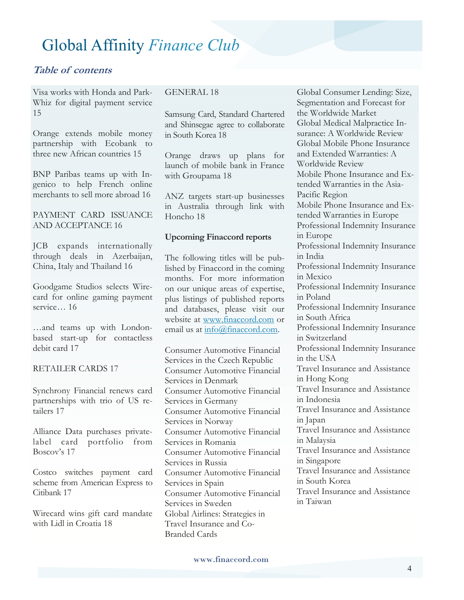#### **Table of contents**

Visa works with Honda and Park-Whiz for digital payment service 15

Orange extends mobile money partnership with Ecobank to three new African countries 15

BNP Paribas teams up with Ingenico to help French online merchants to sell more abroad 16

PAYMENT CARD ISSUANCE AND ACCEPTANCE 16

JCB expands internationally through deals in Azerbaijan, China, Italy and Thailand 16

Goodgame Studios selects Wirecard for online gaming payment service… 16

…and teams up with Londonbased start-up for contactless debit card 17

#### RETAILER CARDS 17

Synchrony Financial renews card partnerships with trio of US retailers 17

Alliance Data purchases privatelabel card portfolio from Boscov's 17

Costco switches payment card scheme from American Express to Citibank 17

Wirecard wins gift card mandate with Lidl in Croatia 18

#### GENERAL 18

Samsung Card, Standard Chartered and Shinsegae agree to collaborate in South Korea 18

Orange draws up plans for launch of mobile bank in France with Groupama 18

ANZ targets start-up businesses in Australia through link with Honcho 18

#### **Upcoming Finaccord reports**

The following titles will be published by Finaccord in the coming months. For more information on our unique areas of expertise, plus listings of published reports and databases, please visit our website at www.finaccord.com or email us at info@finaccord.com.

Consumer Automotive Financial Services in the Czech Republic Consumer Automotive Financial Services in Denmark Consumer Automotive Financial Services in Germany Consumer Automotive Financial Services in Norway Consumer Automotive Financial Services in Romania Consumer Automotive Financial Services in Russia Consumer Automotive Financial Services in Spain Consumer Automotive Financial Services in Sweden Global Airlines: Strategies in Travel Insurance and Co-Branded Cards

Global Consumer Lending: Size, Segmentation and Forecast for the Worldwide Market Global Medical Malpractice Insurance: A Worldwide Review Global Mobile Phone Insurance and Extended Warranties: A Worldwide Review Mobile Phone Insurance and Extended Warranties in the Asia-Pacific Region Mobile Phone Insurance and Extended Warranties in Europe Professional Indemnity Insurance in Europe Professional Indemnity Insurance in India Professional Indemnity Insurance in Mexico Professional Indemnity Insurance in Poland Professional Indemnity Insurance in South Africa Professional Indemnity Insurance in Switzerland Professional Indemnity Insurance in the USA Travel Insurance and Assistance in Hong Kong Travel Insurance and Assistance in Indonesia Travel Insurance and Assistance in Japan Travel Insurance and Assistance in Malaysia Travel Insurance and Assistance in Singapore Travel Insurance and Assistance in South Korea Travel Insurance and Assistance in Taiwan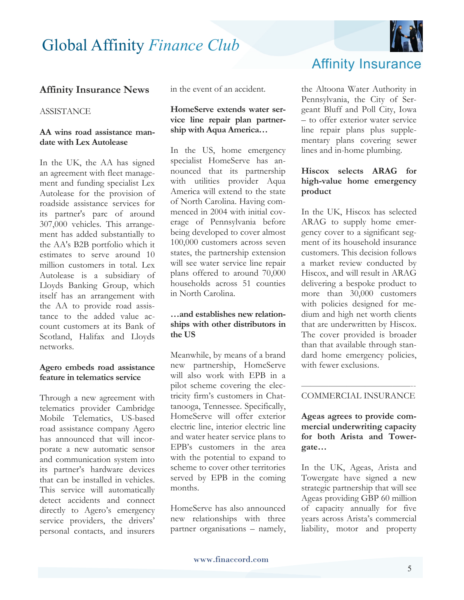

#### **Affinity Insurance News**

#### **ASSISTANCE**

#### **AA wins road assistance mandate with Lex Autolease**

In the UK, the AA has signed an agreement with fleet management and funding specialist Lex Autolease for the provision of roadside assistance services for its partner's parc of around 307,000 vehicles. This arrangement has added substantially to the AA's B2B portfolio which it estimates to serve around 10 million customers in total. Lex Autolease is a subsidiary of Lloyds Banking Group, which itself has an arrangement with the AA to provide road assistance to the added value account customers at its Bank of Scotland, Halifax and Lloyds networks.

#### **Agero embeds road assistance feature in telematics service**

Through a new agreement with telematics provider Cambridge Mobile Telematics, US-based road assistance company Agero has announced that will incorporate a new automatic sensor and communication system into its partner's hardware devices that can be installed in vehicles. This service will automatically detect accidents and connect directly to Agero's emergency service providers, the drivers' personal contacts, and insurers in the event of an accident.

#### **HomeServe extends water service line repair plan partnership with Aqua America…**

In the US, home emergency specialist HomeServe has announced that its partnership with utilities provider Aqua America will extend to the state of North Carolina. Having commenced in 2004 with initial coverage of Pennsylvania before being developed to cover almost 100,000 customers across seven states, the partnership extension will see water service line repair plans offered to around 70,000 households across 51 counties in North Carolina.

#### **…and establishes new relationships with other distributors in the US**

Meanwhile, by means of a brand new partnership, HomeServe will also work with EPB in a pilot scheme covering the electricity firm's customers in Chattanooga, Tennessee. Specifically, HomeServe will offer exterior electric line, interior electric line and water heater service plans to EPB's customers in the area with the potential to expand to scheme to cover other territories served by EPB in the coming months.

HomeServe has also announced new relationships with three partner organisations – namely,



the Altoona Water Authority in Pennsylvania, the City of Sergeant Bluff and Poll City, Iowa – to offer exterior water service line repair plans plus supplementary plans covering sewer lines and in-home plumbing.

#### **Hiscox selects ARAG for high-value home emergency product**

In the UK, Hiscox has selected ARAG to supply home emergency cover to a significant segment of its household insurance customers. This decision follows a market review conducted by Hiscox, and will result in ARAG delivering a bespoke product to more than 30,000 customers with policies designed for medium and high net worth clients that are underwritten by Hiscox. The cover provided is broader than that available through standard home emergency policies, with fewer exclusions.

#### ————————————-- COMMERCIAL INSURANCE

#### **Ageas agrees to provide commercial underwriting capacity for both Arista and Towergate…**

In the UK, Ageas, Arista and Towergate have signed a new strategic partnership that will see Ageas providing GBP 60 million of capacity annually for five years across Arista's commercial liability, motor and property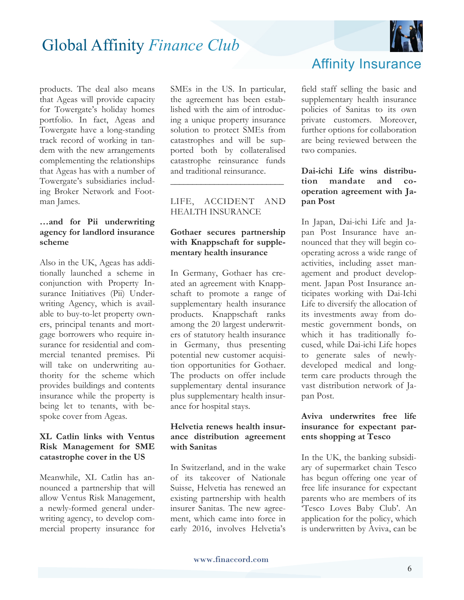

products. The deal also means that Ageas will provide capacity for Towergate's holiday homes portfolio. In fact, Ageas and Towergate have a long-standing track record of working in tandem with the new arrangements complementing the relationships that Ageas has with a number of Towergate's subsidiaries including Broker Network and Footman James.

#### **…and for Pii underwriting agency for landlord insurance scheme**

Also in the UK, Ageas has additionally launched a scheme in conjunction with Property Insurance Initiatives (Pii) Underwriting Agency, which is available to buy-to-let property owners, principal tenants and mortgage borrowers who require insurance for residential and commercial tenanted premises. Pii will take on underwriting authority for the scheme which provides buildings and contents insurance while the property is being let to tenants, with bespoke cover from Ageas.

#### **XL Catlin links with Ventus Risk Management for SME catastrophe cover in the US**

Meanwhile, XL Catlin has announced a partnership that will allow Ventus Risk Management, a newly-formed general underwriting agency, to develop commercial property insurance for SMEs in the US. In particular, the agreement has been established with the aim of introducing a unique property insurance solution to protect SMEs from catastrophes and will be supported both by collateralised catastrophe reinsurance funds and traditional reinsurance.

#### LIFE, ACCIDENT AND HEALTH INSURANCE

**\_\_\_\_\_\_\_\_\_\_\_\_\_\_\_\_\_\_\_\_\_\_\_\_\_\_**

#### **Gothaer secures partnership with Knappschaft for supplementary health insurance**

In Germany, Gothaer has created an agreement with Knappschaft to promote a range of supplementary health insurance products. Knappschaft ranks among the 20 largest underwriters of statutory health insurance in Germany, thus presenting potential new customer acquisition opportunities for Gothaer. The products on offer include supplementary dental insurance plus supplementary health insurance for hospital stays.

#### **Helvetia renews health insurance distribution agreement with Sanitas**

In Switzerland, and in the wake of its takeover of Nationale Suisse, Helvetia has renewed an existing partnership with health insurer Sanitas. The new agreement, which came into force in early 2016, involves Helvetia's

### Affinity Insurance

field staff selling the basic and supplementary health insurance policies of Sanitas to its own private customers. Moreover, further options for collaboration are being reviewed between the two companies.

#### **Dai-ichi Life wins distribution mandate and cooperation agreement with Japan Post**

In Japan, Dai-ichi Life and Japan Post Insurance have announced that they will begin cooperating across a wide range of activities, including asset management and product development. Japan Post Insurance anticipates working with Dai-Ichi Life to diversify the allocation of its investments away from domestic government bonds, on which it has traditionally focused, while Dai-ichi Life hopes to generate sales of newlydeveloped medical and longterm care products through the vast distribution network of Japan Post.

#### **Aviva underwrites free life insurance for expectant parents shopping at Tesco**

In the UK, the banking subsidiary of supermarket chain Tesco has begun offering one year of free life insurance for expectant parents who are members of its 'Tesco Loves Baby Club'. An application for the policy, which is underwritten by Aviva, can be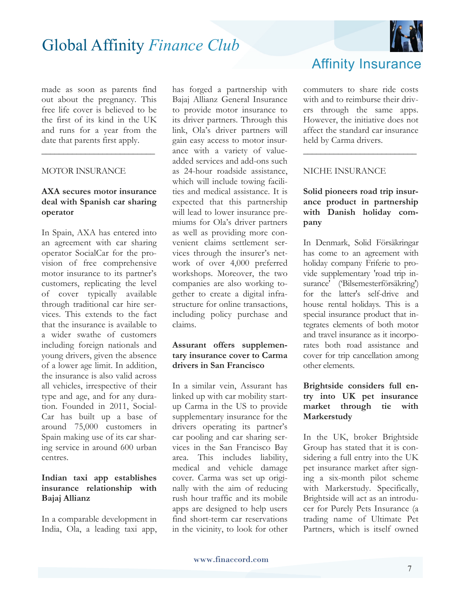made as soon as parents find out about the pregnancy. This free life cover is believed to be the first of its kind in the UK and runs for a year from the date that parents first apply.

**\_\_\_\_\_\_\_\_\_\_\_\_\_\_\_\_\_\_\_\_\_\_\_\_\_\_** 

#### MOTOR INSURANCE

#### **AXA secures motor insurance deal with Spanish car sharing operator**

In Spain, AXA has entered into an agreement with car sharing operator SocialCar for the provision of free comprehensive motor insurance to its partner's customers, replicating the level of cover typically available through traditional car hire services. This extends to the fact that the insurance is available to a wider swathe of customers including foreign nationals and young drivers, given the absence of a lower age limit. In addition, the insurance is also valid across all vehicles, irrespective of their type and age, and for any duration. Founded in 2011, Social-Car has built up a base of around 75,000 customers in Spain making use of its car sharing service in around 600 urban centres.

#### **Indian taxi app establishes insurance relationship with Bajaj Allianz**

In a comparable development in India, Ola, a leading taxi app, has forged a partnership with Bajaj Allianz General Insurance to provide motor insurance to its driver partners. Through this link, Ola's driver partners will gain easy access to motor insurance with a variety of valueadded services and add-ons such as 24-hour roadside assistance, which will include towing facilities and medical assistance. It is expected that this partnership will lead to lower insurance premiums for Ola's driver partners as well as providing more convenient claims settlement services through the insurer's network of over 4,000 preferred workshops. Moreover, the two companies are also working together to create a digital infrastructure for online transactions, including policy purchase and claims.

#### **Assurant offers supplementary insurance cover to Carma drivers in San Francisco**

In a similar vein, Assurant has linked up with car mobility startup Carma in the US to provide supplementary insurance for the drivers operating its partner's car pooling and car sharing services in the San Francisco Bay area. This includes liability, medical and vehicle damage cover. Carma was set up originally with the aim of reducing rush hour traffic and its mobile apps are designed to help users find short-term car reservations in the vicinity, to look for other



commuters to share ride costs with and to reimburse their drivers through the same apps. However, the initiative does not affect the standard car insurance held by Carma drivers.

\_\_\_\_\_\_\_\_\_\_\_\_\_\_\_\_\_\_\_\_\_\_\_\_\_\_

#### NICHE INSURANCE

#### **Solid pioneers road trip insurance product in partnership with Danish holiday company**

In Denmark, Solid Försäkringar has come to an agreement with holiday company Friferie to provide supplementary 'road trip insurance' ('Bilsemesterförsäkring') for the latter's self-drive and house rental holidays. This is a special insurance product that integrates elements of both motor and travel insurance as it incorporates both road assistance and cover for trip cancellation among other elements.

#### **Brightside considers full entry into UK pet insurance market through tie with Markerstudy**

In the UK, broker Brightside Group has stated that it is considering a full entry into the UK pet insurance market after signing a six-month pilot scheme with Markerstudy. Specifically, Brightside will act as an introducer for Purely Pets Insurance (a trading name of Ultimate Pet Partners, which is itself owned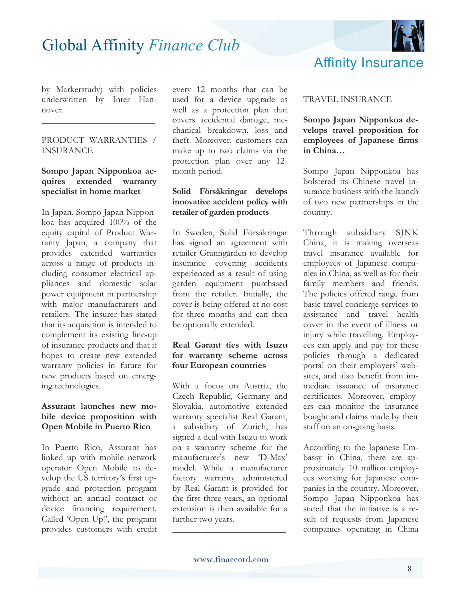

by Markerstudy) with policies underwritten by Inter Hannover.

\_\_\_\_\_\_\_\_\_\_\_\_\_\_\_\_\_\_\_\_\_\_\_\_\_\_

#### PRODUCT WARRANTIES / INSURANCE

#### **Sompo Japan Nipponkoa acquires extended warranty specialist in home market**

In Japan, Sompo Japan Nipponkoa has acquired 100% of the equity capital of Product Warranty Japan, a company that provides extended warranties across a range of products including consumer electrical appliances and domestic solar power equipment in partnership with major manufacturers and retailers. The insurer has stated that its acquisition is intended to complement its existing line-up of insurance products and that it hopes to create new extended warranty policies in future for new products based on emerging technologies.

#### **Assurant launches new mobile device proposition with Open Mobile in Puerto Rico**

In Puerto Rico, Assurant has linked up with mobile network operator Open Mobile to develop the US territory's first upgrade and protection program without an annual contract or device financing requirement. Called 'Open Up!', the program provides customers with credit every 12 months that can be used for a device upgrade as well as a protection plan that covers accidental damage, mechanical breakdown, loss and theft. Moreover, customers can make up to two claims via the protection plan over any 12 month period.

#### **Solid Försäkringar develops innovative accident policy with retailer of garden products**

In Sweden, Solid Försäkringar has signed an agreement with retailer Granngården to develop insurance covering accidents experienced as a result of using garden equipment purchased from the retailer. Initially, the cover is being offered at no cost for three months and can then be optionally extended.

#### **Real Garant ties with Isuzu for warranty scheme across four European countries**

With a focus on Austria, the Czech Republic, Germany and Slovakia, automotive extended warranty specialist Real Garant, a subsidiary of Zurich, has signed a deal with Isuzu to work on a warranty scheme for the manufacturer's new 'D-Max' model. While a manufacturer factory warranty administered by Real Garant is provided for the first three years, an optional extension is then available for a further two years.

#### TRAVEL INSURANCE

**Sompo Japan Nipponkoa develops travel proposition for employees of Japanese firms in China…**

Sompo Japan Nipponkoa has bolstered its Chinese travel insurance business with the launch of two new partnerships in the country.

Through subsidiary SJNK China, it is making overseas travel insurance available for employees of Japanese companies in China, as well as for their family members and friends. The policies offered range from basic travel concierge services to assistance and travel health cover in the event of illness or injury while travelling. Employees can apply and pay for these policies through a dedicated portal on their employers' websites, and also benefit from immediate issuance of insurance certificates. Moreover, employers can monitor the insurance bought and claims made by their staff on an on-going basis.

According to the Japanese Embassy in China, there are approximately 10 million employees working for Japanese companies in the country. Moreover, Sompo Japan Nipponkoa has stated that the initiative is a result of requests from Japanese companies operating in China

\_\_\_\_\_\_\_\_\_\_\_\_\_\_\_\_\_\_\_\_\_\_\_\_\_\_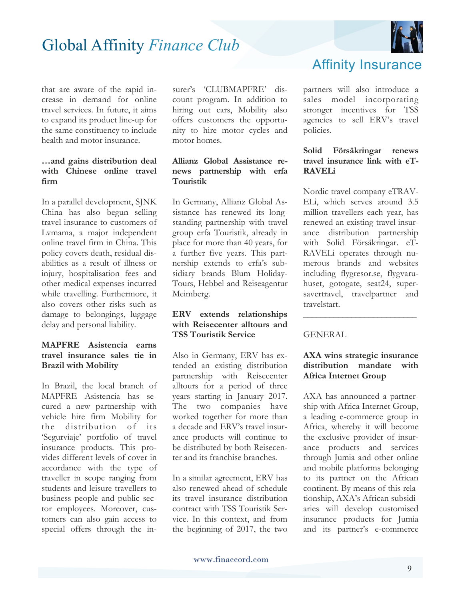

that are aware of the rapid increase in demand for online travel services. In future, it aims to expand its product line-up for the same constituency to include health and motor insurance.

#### **…and gains distribution deal with Chinese online travel firm**

In a parallel development, SJNK China has also begun selling travel insurance to customers of Lvmama, a major independent online travel firm in China. This policy covers death, residual disabilities as a result of illness or injury, hospitalisation fees and other medical expenses incurred while travelling. Furthermore, it also covers other risks such as damage to belongings, luggage delay and personal liability.

#### **MAPFRE Asistencia earns travel insurance sales tie in Brazil with Mobility**

In Brazil, the local branch of MAPFRE Asistencia has secured a new partnership with vehicle hire firm Mobility for the distribution of its 'Segurviaje' portfolio of travel insurance products. This provides different levels of cover in accordance with the type of traveller in scope ranging from students and leisure travellers to business people and public sector employees. Moreover, customers can also gain access to special offers through the insurer's 'CLUBMAPFRE' discount program. In addition to hiring out cars, Mobility also offers customers the opportunity to hire motor cycles and motor homes.

#### **Allianz Global Assistance renews partnership with erfa Touristik**

In Germany, Allianz Global Assistance has renewed its longstanding partnership with travel group erfa Touristik, already in place for more than 40 years, for a further five years. This partnership extends to erfa's subsidiary brands Blum Holiday-Tours, Hebbel and Reiseagentur Meimberg.

#### **ERV extends relationships with Reisecenter alltours and TSS Touristik Service**

Also in Germany, ERV has extended an existing distribution partnership with Reisecenter alltours for a period of three years starting in January 2017. The two companies have worked together for more than a decade and ERV's travel insurance products will continue to be distributed by both Reisecenter and its franchise branches.

In a similar agreement, ERV has also renewed ahead of schedule its travel insurance distribution contract with TSS Touristik Service. In this context, and from the beginning of 2017, the two

### Affinity Insurance

partners will also introduce a sales model incorporating stronger incentives for TSS agencies to sell ERV's travel policies.

#### **Solid Försäkringar renews travel insurance link with eT-RAVELi**

Nordic travel company eTRAV-ELi, which serves around 3.5 million travellers each year, has renewed an existing travel insurance distribution partnership with Solid Försäkringar. eT-RAVELi operates through numerous brands and websites including flygresor.se, flygvaruhuset, gotogate, seat24, supersavertravel, travelpartner and travelstart.

#### **GENERAL**

#### **AXA wins strategic insurance distribution mandate with Africa Internet Group**

\_\_\_\_\_\_\_\_\_\_\_\_\_\_\_\_\_\_\_\_\_\_\_\_\_\_

AXA has announced a partnership with Africa Internet Group, a leading e-commerce group in Africa, whereby it will become the exclusive provider of insurance products and services through Jumia and other online and mobile platforms belonging to its partner on the African continent. By means of this relationship, AXA's African subsidiaries will develop customised insurance products for Jumia and its partner's e-commerce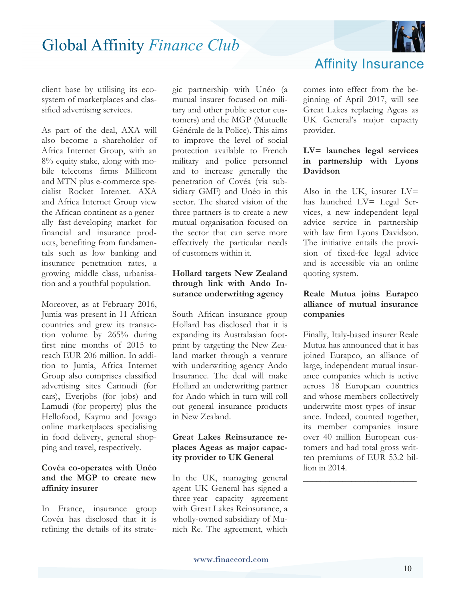

client base by utilising its ecosystem of marketplaces and classified advertising services.

As part of the deal, AXA will also become a shareholder of Africa Internet Group, with an 8% equity stake, along with mobile telecoms firms Millicom and MTN plus e-commerce specialist Rocket Internet. AXA and Africa Internet Group view the African continent as a generally fast-developing market for financial and insurance products, benefiting from fundamentals such as low banking and insurance penetration rates, a growing middle class, urbanisation and a youthful population.

Moreover, as at February 2016, Jumia was present in 11 African countries and grew its transaction volume by 265% during first nine months of 2015 to reach EUR 206 million. In addition to Jumia, Africa Internet Group also comprises classified advertising sites Carmudi (for cars), Everjobs (for jobs) and Lamudi (for property) plus the Hellofood, Kaymu and Jovago online marketplaces specialising in food delivery, general shopping and travel, respectively.

#### **Covéa co-operates with Unéo and the MGP to create new affinity insurer**

In France, insurance group Covéa has disclosed that it is refining the details of its strategic partnership with Unéo (a mutual insurer focused on military and other public sector customers) and the MGP (Mutuelle Générale de la Police). This aims to improve the level of social protection available to French military and police personnel and to increase generally the penetration of Covéa (via subsidiary GMF) and Unéo in this sector. The shared vision of the three partners is to create a new mutual organisation focused on the sector that can serve more effectively the particular needs of customers within it.

#### **Hollard targets New Zealand through link with Ando Insurance underwriting agency**

South African insurance group Hollard has disclosed that it is expanding its Australasian footprint by targeting the New Zealand market through a venture with underwriting agency Ando Insurance. The deal will make Hollard an underwriting partner for Ando which in turn will roll out general insurance products in New Zealand.

#### **Great Lakes Reinsurance replaces Ageas as major capacity provider to UK General**

In the UK, managing general agent UK General has signed a three-year capacity agreement with Great Lakes Reinsurance, a wholly-owned subsidiary of Munich Re. The agreement, which

### Affinity Insurance

comes into effect from the beginning of April 2017, will see Great Lakes replacing Ageas as UK General's major capacity provider.

#### **LV= launches legal services in partnership with Lyons Davidson**

Also in the UK, insurer LV= has launched LV= Legal Services, a new independent legal advice service in partnership with law firm Lyons Davidson. The initiative entails the provision of fixed-fee legal advice and is accessible via an online quoting system.

#### **Reale Mutua joins Eurapco alliance of mutual insurance companies**

Finally, Italy-based insurer Reale Mutua has announced that it has joined Eurapco, an alliance of large, independent mutual insurance companies which is active across 18 European countries and whose members collectively underwrite most types of insurance. Indeed, counted together, its member companies insure over 40 million European customers and had total gross written premiums of EUR 53.2 billion in 2014.

\_\_\_\_\_\_\_\_\_\_\_\_\_\_\_\_\_\_\_\_\_\_\_\_\_\_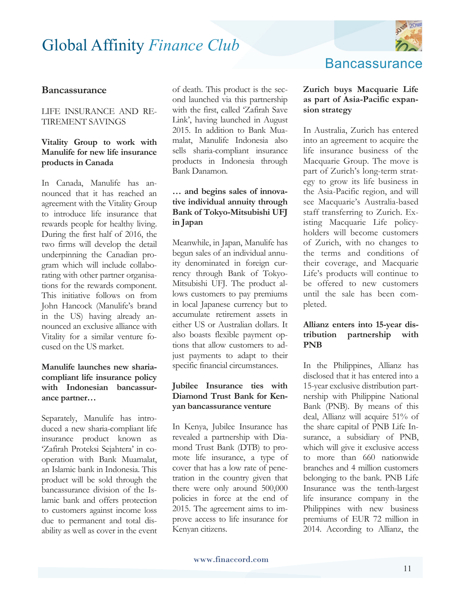

#### **Bancassurance**

#### LIFE INSURANCE AND RE-TIREMENT SAVINGS

#### **Vitality Group to work with Manulife for new life insurance products in Canada**

In Canada, Manulife has announced that it has reached an agreement with the Vitality Group to introduce life insurance that rewards people for healthy living. During the first half of 2016, the two firms will develop the detail underpinning the Canadian program which will include collaborating with other partner organisations for the rewards component. This initiative follows on from John Hancock (Manulife's brand in the US) having already announced an exclusive alliance with Vitality for a similar venture focused on the US market.

#### **Manulife launches new shariacompliant life insurance policy with Indonesian bancassurance partner…**

Separately, Manulife has introduced a new sharia-compliant life insurance product known as 'Zafirah Proteksi Sejahtera' in cooperation with Bank Muamalat, an Islamic bank in Indonesia. This product will be sold through the bancassurance division of the Islamic bank and offers protection to customers against income loss due to permanent and total disability as well as cover in the event

of death. This product is the second launched via this partnership with the first, called 'Zafirah Save Link', having launched in August 2015. In addition to Bank Muamalat, Manulife Indonesia also sells sharia-compliant insurance products in Indonesia through Bank Danamon.

#### **… and begins sales of innovative individual annuity through Bank of Tokyo-Mitsubishi UFJ in Japan**

Meanwhile, in Japan, Manulife has begun sales of an individual annuity denominated in foreign currency through Bank of Tokyo-Mitsubishi UFJ. The product allows customers to pay premiums in local Japanese currency but to accumulate retirement assets in either US or Australian dollars. It also boasts flexible payment options that allow customers to adjust payments to adapt to their specific financial circumstances.

#### **Jubilee Insurance ties with Diamond Trust Bank for Kenyan bancassurance venture**

In Kenya, Jubilee Insurance has revealed a partnership with Diamond Trust Bank (DTB) to promote life insurance, a type of cover that has a low rate of penetration in the country given that there were only around 500,000 policies in force at the end of 2015. The agreement aims to improve access to life insurance for Kenyan citizens.

### **Bancassurance**

#### **Zurich buys Macquarie Life as part of Asia-Pacific expansion strategy**

In Australia, Zurich has entered into an agreement to acquire the life insurance business of the Macquarie Group. The move is part of Zurich's long-term strategy to grow its life business in the Asia-Pacific region, and will see Macquarie's Australia-based staff transferring to Zurich. Existing Macquarie Life policyholders will become customers of Zurich, with no changes to the terms and conditions of their coverage, and Macquarie Life's products will continue to be offered to new customers until the sale has been completed.

#### **Allianz enters into 15-year distribution partnership with PNB**

In the Philippines, Allianz has disclosed that it has entered into a 15-year exclusive distribution partnership with Philippine National Bank (PNB). By means of this deal, Allianz will acquire 51% of the share capital of PNB Life Insurance, a subsidiary of PNB, which will give it exclusive access to more than 660 nationwide branches and 4 million customers belonging to the bank. PNB Life Insurance was the tenth-largest life insurance company in the Philippines with new business premiums of EUR 72 million in 2014. According to Allianz, the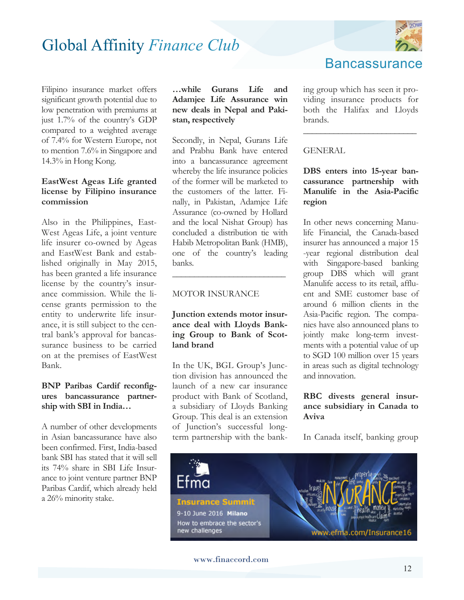

Filipino insurance market offers significant growth potential due to low penetration with premiums at just 1.7% of the country's GDP compared to a weighted average of 7.4% for Western Europe, not to mention 7.6% in Singapore and 14.3% in Hong Kong.

#### **EastWest Ageas Life granted license by Filipino insurance commission**

Also in the Philippines, East-West Ageas Life, a joint venture life insurer co-owned by Ageas and EastWest Bank and established originally in May 2015, has been granted a life insurance license by the country's insurance commission. While the license grants permission to the entity to underwrite life insurance, it is still subject to the central bank's approval for bancassurance business to be carried on at the premises of EastWest Bank.

#### **BNP Paribas Cardif reconfigures bancassurance partnership with SBI in India…**

A number of other developments in Asian bancassurance have also been confirmed. First, India-based bank SBI has stated that it will sell its 74% share in SBI Life Insurance to joint venture partner BNP Paribas Cardif, which already held a 26% minority stake.

**…while Gurans Life and Adamjee Life Assurance win new deals in Nepal and Pakistan, respectively** 

Secondly, in Nepal, Gurans Life and Prabhu Bank have entered into a bancassurance agreement whereby the life insurance policies of the former will be marketed to the customers of the latter. Finally, in Pakistan, Adamjee Life Assurance (co-owned by Hollard and the local Nishat Group) has concluded a distribution tie with Habib Metropolitan Bank (HMB), one of the country's leading banks.

#### MOTOR INSURANCE

#### **Junction extends motor insurance deal with Lloyds Banking Group to Bank of Scotland brand**

**\_\_\_\_\_\_\_\_\_\_\_\_\_\_\_\_\_\_\_\_\_\_\_\_\_\_**

In the UK, BGL Group's Junction division has announced the launch of a new car insurance product with Bank of Scotland, a subsidiary of Lloyds Banking Group. This deal is an extension of Junction's successful longterm partnership with the banking group which has seen it providing insurance products for both the Halifax and Lloyds brands.

**Bancassurance** 

**\_\_\_\_\_\_\_\_\_\_\_\_\_\_\_\_\_\_\_\_\_\_\_\_\_\_**

#### **GENERAL**

#### **DBS enters into 15-year bancassurance partnership with Manulife in the Asia-Pacific region**

In other news concerning Manulife Financial, the Canada-based insurer has announced a major 15 -year regional distribution deal with Singapore-based banking group DBS which will grant Manulife access to its retail, affluent and SME customer base of around 6 million clients in the Asia-Pacific region. The companies have also announced plans to jointly make long-term investments with a potential value of up to SGD 100 million over 15 years in areas such as digital technology and innovation.

#### **RBC divests general insurance subsidiary in Canada to Aviva**

In Canada itself, banking group



www.finaccord.com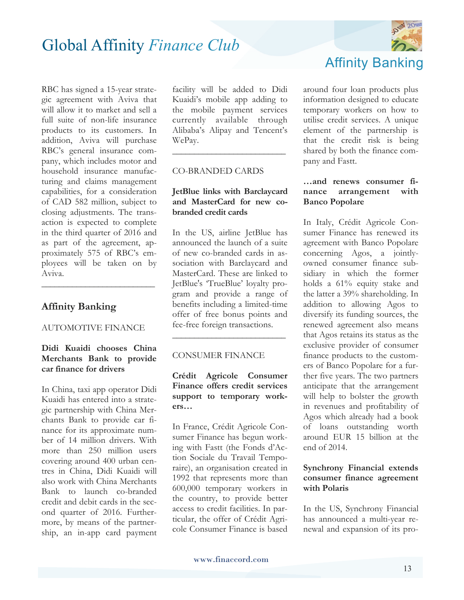RBC has signed a 15-year strategic agreement with Aviva that will allow it to market and sell a full suite of non-life insurance products to its customers. In addition, Aviva will purchase RBC's general insurance company, which includes motor and household insurance manufacturing and claims management capabilities, for a consideration of CAD 582 million, subject to closing adjustments. The transaction is expected to complete in the third quarter of 2016 and as part of the agreement, approximately 575 of RBC's employees will be taken on by Aviva.

#### **Affinity Banking**

#### AUTOMOTIVE FINANCE

**\_\_\_\_\_\_\_\_\_\_\_\_\_\_\_\_\_\_\_\_\_\_\_\_\_\_**

#### **Didi Kuaidi chooses China Merchants Bank to provide car finance for drivers**

In China, taxi app operator Didi Kuaidi has entered into a strategic partnership with China Merchants Bank to provide car finance for its approximate number of 14 million drivers. With more than 250 million users covering around 400 urban centres in China, Didi Kuaidi will also work with China Merchants Bank to launch co-branded credit and debit cards in the second quarter of 2016. Furthermore, by means of the partnership, an in-app card payment

facility will be added to Didi Kuaidi's mobile app adding to the mobile payment services currently available through Alibaba's Alipay and Tencent's WePay.

**\_\_\_\_\_\_\_\_\_\_\_\_\_\_\_\_\_\_\_\_\_\_\_\_\_\_**

#### CO-BRANDED CARDS

#### **JetBlue links with Barclaycard and MasterCard for new cobranded credit cards**

In the US, airline JetBlue has announced the launch of a suite of new co-branded cards in association with Barclaycard and MasterCard. These are linked to JetBlue's 'TrueBlue' loyalty program and provide a range of benefits including a limited-time offer of free bonus points and fee-free foreign transactions.

#### CONSUMER FINANCE

#### **Crédit Agricole Consumer Finance offers credit services support to temporary workers…**

**\_\_\_\_\_\_\_\_\_\_\_\_\_\_\_\_\_\_\_\_\_\_\_\_\_\_**

In France, Crédit Agricole Consumer Finance has begun working with Fastt (the Fonds d'Action Sociale du Travail Temporaire), an organisation created in 1992 that represents more than 600,000 temporary workers in the country, to provide better access to credit facilities. In particular, the offer of Crédit Agricole Consumer Finance is based



around four loan products plus information designed to educate temporary workers on how to utilise credit services. A unique element of the partnership is that the credit risk is being shared by both the finance company and Fastt.

#### **…and renews consumer finance arrangement with Banco Popolare**

In Italy, Crédit Agricole Consumer Finance has renewed its agreement with Banco Popolare concerning Agos, a jointlyowned consumer finance subsidiary in which the former holds a 61% equity stake and the latter a 39% shareholding. In addition to allowing Agos to diversify its funding sources, the renewed agreement also means that Agos retains its status as the exclusive provider of consumer finance products to the customers of Banco Popolare for a further five years. The two partners anticipate that the arrangement will help to bolster the growth in revenues and profitability of Agos which already had a book of loans outstanding worth around EUR 15 billion at the end of 2014.

#### **Synchrony Financial extends consumer finance agreement with Polaris**

In the US, Synchrony Financial has announced a multi-year renewal and expansion of its pro-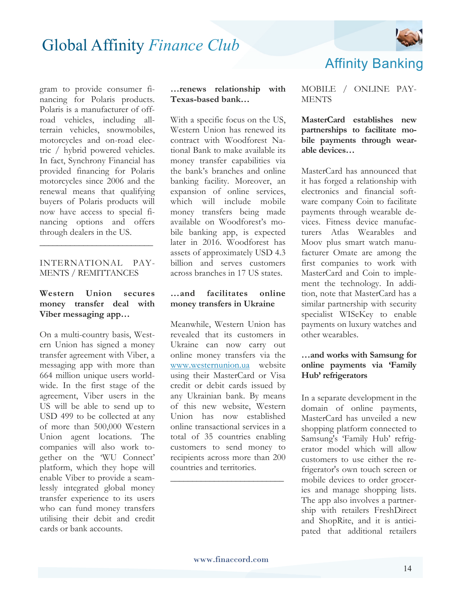

gram to provide consumer financing for Polaris products. Polaris is a manufacturer of offroad vehicles, including allterrain vehicles, snowmobiles, motorcycles and on-road electric / hybrid powered vehicles. In fact, Synchrony Financial has provided financing for Polaris motorcycles since 2006 and the renewal means that qualifying buyers of Polaris products will now have access to special financing options and offers through dealers in the US.

#### INTERNATIONAL PAY-MENTS / REMITTANCES

**\_\_\_\_\_\_\_\_\_\_\_\_\_\_\_\_\_\_\_\_\_\_\_\_\_\_**

#### **Western Union secures money transfer deal with Viber messaging app…**

On a multi-country basis, Western Union has signed a money transfer agreement with Viber, a messaging app with more than 664 million unique users worldwide. In the first stage of the agreement, Viber users in the US will be able to send up to USD 499 to be collected at any of more than 500,000 Western Union agent locations. The companies will also work together on the 'WU Connect' platform, which they hope will enable Viber to provide a seamlessly integrated global money transfer experience to its users who can fund money transfers utilising their debit and credit cards or bank accounts.

#### **…renews relationship with Texas-based bank…**

With a specific focus on the US, Western Union has renewed its contract with Woodforest National Bank to make available its money transfer capabilities via the bank's branches and online banking facility. Moreover, an expansion of online services, which will include mobile money transfers being made available on Woodforest's mobile banking app, is expected later in 2016. Woodforest has assets of approximately USD 4.3 billion and serves customers across branches in 17 US states.

#### **…and facilitates online money transfers in Ukraine**

Meanwhile, Western Union has revealed that its customers in Ukraine can now carry out online money transfers via the www.westernunion.ua website using their MasterCard or Visa credit or debit cards issued by any Ukrainian bank. By means of this new website, Western Union has now established online transactional services in a total of 35 countries enabling customers to send money to recipients across more than 200 countries and territories.

**\_\_\_\_\_\_\_\_\_\_\_\_\_\_\_\_\_\_\_\_\_\_\_\_\_\_**

#### MOBILE / ONLINE PAY-**MENTS**

Affinity Banking

**MasterCard establishes new partnerships to facilitate mobile payments through wearable devices…**

MasterCard has announced that it has forged a relationship with electronics and financial software company Coin to facilitate payments through wearable devices. Fitness device manufacturers Atlas Wearables and Moov plus smart watch manufacturer Omate are among the first companies to work with MasterCard and Coin to implement the technology. In addition, note that MasterCard has a similar partnership with security specialist WISeKey to enable payments on luxury watches and other wearables.

#### **…and works with Samsung for online payments via 'Family Hub' refrigerators**

In a separate development in the domain of online payments, MasterCard has unveiled a new shopping platform connected to Samsung's 'Family Hub' refrigerator model which will allow customers to use either the refrigerator's own touch screen or mobile devices to order groceries and manage shopping lists. The app also involves a partnership with retailers FreshDirect and ShopRite, and it is anticipated that additional retailers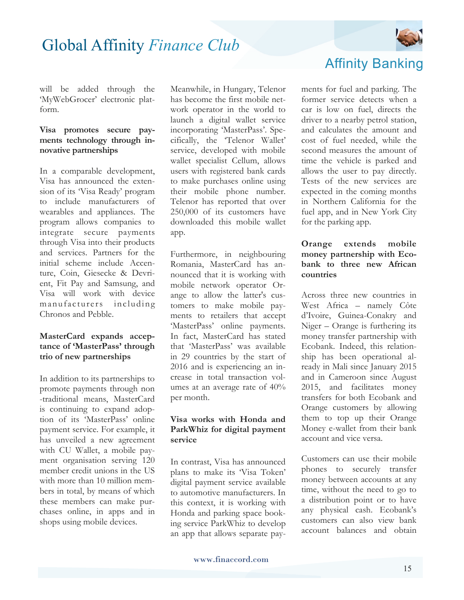

will be added through the 'MyWebGrocer' electronic platform.

#### **Visa promotes secure payments technology through innovative partnerships**

In a comparable development, Visa has announced the extension of its 'Visa Ready' program to include manufacturers of wearables and appliances. The program allows companies to integrate secure payments through Visa into their products and services. Partners for the initial scheme include Accenture, Coin, Giesecke & Devrient, Fit Pay and Samsung, and Visa will work with device manufacturers including Chronos and Pebble.

#### **MasterCard expands acceptance of 'MasterPass' through trio of new partnerships**

In addition to its partnerships to promote payments through non -traditional means, MasterCard is continuing to expand adoption of its 'MasterPass' online payment service. For example, it has unveiled a new agreement with CU Wallet, a mobile payment organisation serving 120 member credit unions in the US with more than 10 million members in total, by means of which these members can make purchases online, in apps and in shops using mobile devices.

Meanwhile, in Hungary, Telenor has become the first mobile network operator in the world to launch a digital wallet service incorporating 'MasterPass'. Specifically, the 'Telenor Wallet' service, developed with mobile wallet specialist Cellum, allows users with registered bank cards to make purchases online using their mobile phone number. Telenor has reported that over 250,000 of its customers have downloaded this mobile wallet app.

Furthermore, in neighbouring Romania, MasterCard has announced that it is working with mobile network operator Orange to allow the latter's customers to make mobile payments to retailers that accept 'MasterPass' online payments. In fact, MasterCard has stated that 'MasterPass' was available in 29 countries by the start of 2016 and is experiencing an increase in total transaction volumes at an average rate of 40% per month.

#### **Visa works with Honda and ParkWhiz for digital payment service**

In contrast, Visa has announced plans to make its 'Visa Token' digital payment service available to automotive manufacturers. In this context, it is working with Honda and parking space booking service ParkWhiz to develop an app that allows separate pay-



ments for fuel and parking. The former service detects when a car is low on fuel, directs the driver to a nearby petrol station, and calculates the amount and cost of fuel needed, while the second measures the amount of time the vehicle is parked and allows the user to pay directly. Tests of the new services are expected in the coming months in Northern California for the fuel app, and in New York City for the parking app.

#### **Orange extends mobile money partnership with Ecobank to three new African countries**

Across three new countries in West Africa – namely Côte d'Ivoire, Guinea-Conakry and Niger – Orange is furthering its money transfer partnership with Ecobank. Indeed, this relationship has been operational already in Mali since January 2015 and in Cameroon since August 2015, and facilitates money transfers for both Ecobank and Orange customers by allowing them to top up their Orange Money e-wallet from their bank account and vice versa.

Customers can use their mobile phones to securely transfer money between accounts at any time, without the need to go to a distribution point or to have any physical cash. Ecobank's customers can also view bank account balances and obtain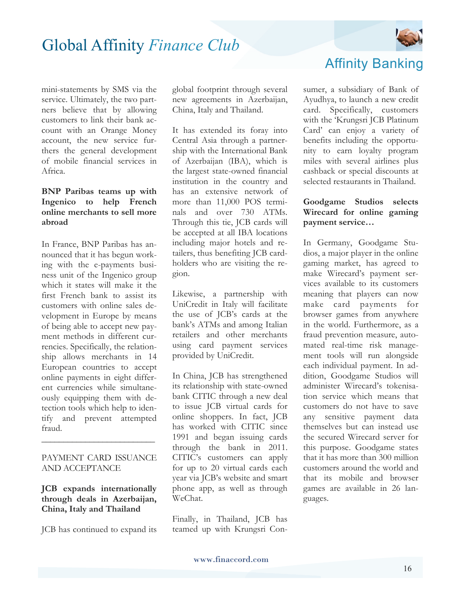

mini-statements by SMS via the service. Ultimately, the two partners believe that by allowing customers to link their bank account with an Orange Money account, the new service furthers the general development of mobile financial services in Africa.

#### **BNP Paribas teams up with Ingenico to help French online merchants to sell more abroad**

In France, BNP Paribas has announced that it has begun working with the e-payments business unit of the Ingenico group which it states will make it the first French bank to assist its customers with online sales development in Europe by means of being able to accept new payment methods in different currencies. Specifically, the relationship allows merchants in 14 European countries to accept online payments in eight different currencies while simultaneously equipping them with detection tools which help to identify and prevent attempted fraud.

#### PAYMENT CARD ISSUANCE AND ACCEPTANCE

**\_\_\_\_\_\_\_\_\_\_\_\_\_\_\_\_\_\_\_\_\_\_\_\_\_\_**

**JCB expands internationally through deals in Azerbaijan, China, Italy and Thailand** 

JCB has continued to expand its

global footprint through several new agreements in Azerbaijan, China, Italy and Thailand.

It has extended its foray into Central Asia through a partnership with the International Bank of Azerbaijan (IBA), which is the largest state-owned financial institution in the country and has an extensive network of more than 11,000 POS terminals and over 730 ATMs. Through this tie, JCB cards will be accepted at all IBA locations including major hotels and retailers, thus benefiting JCB cardholders who are visiting the region.

Likewise, a partnership with UniCredit in Italy will facilitate the use of JCB's cards at the bank's ATMs and among Italian retailers and other merchants using card payment services provided by UniCredit.

In China, JCB has strengthened its relationship with state-owned bank CITIC through a new deal to issue JCB virtual cards for online shoppers. In fact, JCB has worked with CITIC since 1991 and began issuing cards through the bank in 2011. CITIC's customers can apply for up to 20 virtual cards each year via JCB's website and smart phone app, as well as through WeChat.

Finally, in Thailand, JCB has teamed up with Krungsri Con-

### Affinity Banking

sumer, a subsidiary of Bank of Ayudhya, to launch a new credit card. Specifically, customers with the 'Krungsri JCB Platinum Card' can enjoy a variety of benefits including the opportunity to earn loyalty program miles with several airlines plus cashback or special discounts at selected restaurants in Thailand.

#### **Goodgame Studios selects Wirecard for online gaming payment service…**

In Germany, Goodgame Studios, a major player in the online gaming market, has agreed to make Wirecard's payment services available to its customers meaning that players can now make card payments for browser games from anywhere in the world. Furthermore, as a fraud prevention measure, automated real-time risk management tools will run alongside each individual payment. In addition, Goodgame Studios will administer Wirecard's tokenisation service which means that customers do not have to save any sensitive payment data themselves but can instead use the secured Wirecard server for this purpose. Goodgame states that it has more than 300 million customers around the world and that its mobile and browser games are available in 26 languages.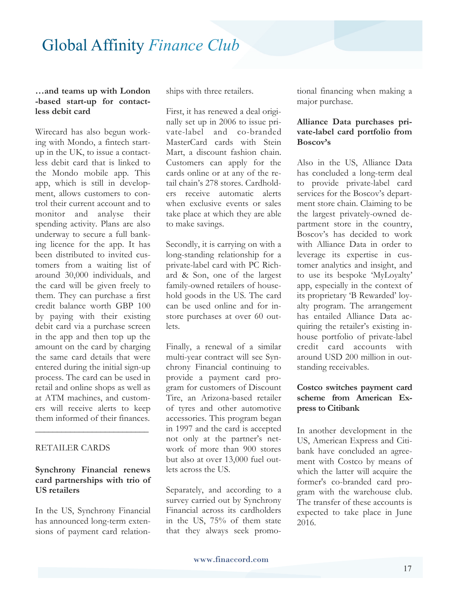#### **…and teams up with London -based start-up for contactless debit card**

Wirecard has also begun working with Mondo, a fintech startup in the UK, to issue a contactless debit card that is linked to the Mondo mobile app. This app, which is still in development, allows customers to control their current account and to monitor and analyse their spending activity. Plans are also underway to secure a full banking licence for the app. It has been distributed to invited customers from a waiting list of around 30,000 individuals, and the card will be given freely to them. They can purchase a first credit balance worth GBP 100 by paying with their existing debit card via a purchase screen in the app and then top up the amount on the card by charging the same card details that were entered during the initial sign-up process. The card can be used in retail and online shops as well as at ATM machines, and customers will receive alerts to keep them informed of their finances.

#### RETAILER CARDS

#### **Synchrony Financial renews card partnerships with trio of US retailers**

**\_\_\_\_\_\_\_\_\_\_\_\_\_\_\_\_\_\_\_\_\_\_\_\_\_\_**

In the US, Synchrony Financial has announced long-term extensions of payment card relationships with three retailers.

First, it has renewed a deal originally set up in 2006 to issue private-label and co-branded MasterCard cards with Stein Mart, a discount fashion chain. Customers can apply for the cards online or at any of the retail chain's 278 stores. Cardholders receive automatic alerts when exclusive events or sales take place at which they are able to make savings.

Secondly, it is carrying on with a long-standing relationship for a private-label card with PC Richard & Son, one of the largest family-owned retailers of household goods in the US. The card can be used online and for instore purchases at over 60 outlets.

Finally, a renewal of a similar multi-year contract will see Synchrony Financial continuing to provide a payment card program for customers of Discount Tire, an Arizona-based retailer of tyres and other automotive accessories. This program began in 1997 and the card is accepted not only at the partner's network of more than 900 stores but also at over 13,000 fuel outlets across the US.

Separately, and according to a survey carried out by Synchrony Financial across its cardholders in the US, 75% of them state that they always seek promo-

tional financing when making a major purchase.

#### **Alliance Data purchases private-label card portfolio from Boscov's**

Also in the US, Alliance Data has concluded a long-term deal to provide private-label card services for the Boscov's department store chain. Claiming to be the largest privately-owned department store in the country, Boscov's has decided to work with Alliance Data in order to leverage its expertise in customer analytics and insight, and to use its bespoke 'MyLoyalty' app, especially in the context of its proprietary 'B Rewarded' loyalty program. The arrangement has entailed Alliance Data acquiring the retailer's existing inhouse portfolio of private-label credit card accounts with around USD 200 million in outstanding receivables.

#### **Costco switches payment card scheme from American Express to Citibank**

In another development in the US, American Express and Citibank have concluded an agreement with Costco by means of which the latter will acquire the former's co-branded card program with the warehouse club. The transfer of these accounts is expected to take place in June 2016.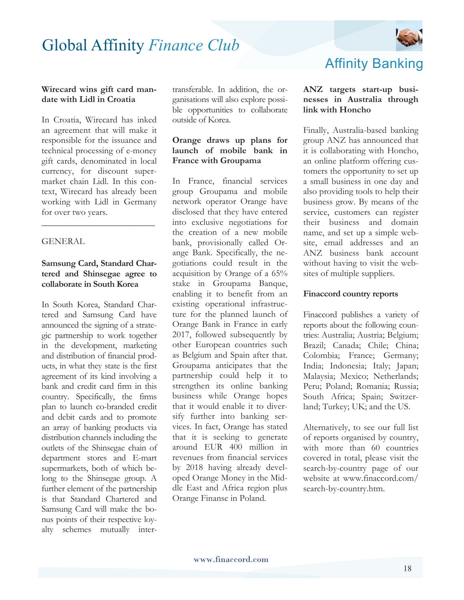

#### **Wirecard wins gift card mandate with Lidl in Croatia**

In Croatia, Wirecard has inked an agreement that will make it responsible for the issuance and technical processing of e-money gift cards, denominated in local currency, for discount supermarket chain Lidl. In this context, Wirecard has already been working with Lidl in Germany for over two years.

#### **GENERAL**

#### **Samsung Card, Standard Chartered and Shinsegae agree to collaborate in South Korea**

**\_\_\_\_\_\_\_\_\_\_\_\_\_\_\_\_\_\_\_\_\_\_\_\_\_\_**

In South Korea, Standard Chartered and Samsung Card have announced the signing of a strategic partnership to work together in the development, marketing and distribution of financial products, in what they state is the first agreement of its kind involving a bank and credit card firm in this country. Specifically, the firms plan to launch co-branded credit and debit cards and to promote an array of banking products via distribution channels including the outlets of the Shinsegae chain of department stores and E-mart supermarkets, both of which belong to the Shinsegae group. A further element of the partnership is that Standard Chartered and Samsung Card will make the bonus points of their respective loyalty schemes mutually inter-

transferable. In addition, the organisations will also explore possible opportunities to collaborate outside of Korea.

#### **Orange draws up plans for launch of mobile bank in France with Groupama**

In France, financial services group Groupama and mobile network operator Orange have disclosed that they have entered into exclusive negotiations for the creation of a new mobile bank, provisionally called Orange Bank. Specifically, the negotiations could result in the acquisition by Orange of a 65% stake in Groupama Banque, enabling it to benefit from an existing operational infrastructure for the planned launch of Orange Bank in France in early 2017, followed subsequently by other European countries such as Belgium and Spain after that. Groupama anticipates that the partnership could help it to strengthen its online banking business while Orange hopes that it would enable it to diversify further into banking services. In fact, Orange has stated that it is seeking to generate around EUR 400 million in revenues from financial services by 2018 having already developed Orange Money in the Middle East and Africa region plus Orange Finanse in Poland.

### Affinity Banking

#### **ANZ targets start-up businesses in Australia through link with Honcho**

Finally, Australia-based banking group ANZ has announced that it is collaborating with Honcho, an online platform offering customers the opportunity to set up a small business in one day and also providing tools to help their business grow. By means of the service, customers can register their business and domain name, and set up a simple website, email addresses and an ANZ business bank account without having to visit the websites of multiple suppliers.

#### **Finaccord country reports**

Finaccord publishes a variety of reports about the following countries: Australia; Austria; Belgium; Brazil; Canada; Chile; China; Colombia; France; Germany; India; Indonesia; Italy; Japan; Malaysia; Mexico; Netherlands; Peru; Poland; Romania; Russia; South Africa; Spain; Switzerland; Turkey; UK; and the US.

Alternatively, to see our full list of reports organised by country, with more than 60 countries covered in total, please visit the search-by-country page of our website at www.finaccord.com/ search-by-country.htm.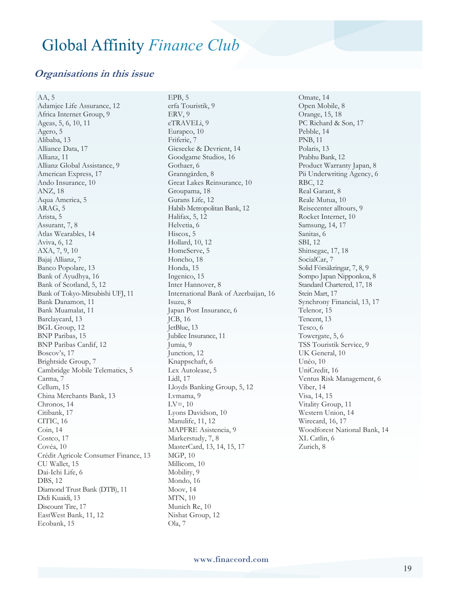#### **Organisations in this issue**

AA, 5 Adamjee Life Assurance, 12 Africa Internet Group, 9 Ageas, 5, 6, 10, 11 Agero, 5 Alibaba, 13 Alliance Data, 17 Allianz, 11 Allianz Global Assistance, 9 American Express, 17 Ando Insurance, 10 ANZ, 18 Aqua America, 5 ARAG, 5 Arista, 5 Assurant, 7, 8 Atlas Wearables, 14 Aviva, 6, 12 AXA, 7, 9, 10 Bajaj Allianz, 7 Banco Popolare, 13 Bank of Ayudhya, 16 Bank of Scotland, 5, 12 Bank of Tokyo-Mitsubishi UFJ, 11 Bank Danamon, 11 Bank Muamalat, 11 Barclaycard, 13 BGL Group, 12 BNP Paribas, 15 BNP Paribas Cardif, 12 Boscov's, 17 Brightside Group, 7 Cambridge Mobile Telematics, 5 Carma, 7 Cellum, 15 China Merchants Bank, 13 Chronos, 14 Citibank, 17 CITIC, 16 Coin, 14 Costco, 17 Covéa, 10 Crédit Agricole Consumer Finance, 13 CU Wallet, 15 Dai-Ichi Life, 6 DBS, 12 Diamond Trust Bank (DTB), 11 Didi Kuaidi, 13 Discount Tire, 17 EastWest Bank, 11, 12 Ecobank, 15

EPB, 5 erfa Touristik, 9 ERV, 9 eTRAVELi, 9 Eurapco, 10 Friferie, 7 Giesecke & Devrient, 14 Goodgame Studios, 16 Gothaer, 6 Granngården, 8 Great Lakes Reinsurance, 10 Groupama, 18 Gurans Life, 12 Habib Metropolitan Bank, 12 Halifax, 5, 12 Helvetia, 6 Hiscox, 5 Hollard, 10, 12 HomeServe, 5 Honcho, 18 Honda, 15 Ingenico, 15 Inter Hannover, 8 International Bank of Azerbaijan, 16 Isuzu, 8 Japan Post Insurance, 6 JCB, 16 JetBlue, 13 Jubilee Insurance, 11 Jumia, 9 Junction, 12 Knappschaft, 6 Lex Autolease, 5 Lidl, 17 Lloyds Banking Group, 5, 12 Lvmama, 9  $LV=$ , 10 Lyons Davidson, 10 Manulife, 11, 12 MAPFRE Asistencia, 9 Markerstudy, 7, 8 MasterCard, 13, 14, 15, 17 MGP, 10 Millicom, 10 Mobility, 9 Mondo, 16 Moov, 14 MTN, 10 Munich Re, 10 Nishat Group, 12 Ola, 7

Omate, 14 Open Mobile, 8 Orange, 15, 18 PC Richard & Son, 17 Pebble, 14 PNB, 11 Polaris, 13 Prabhu Bank, 12 Product Warranty Japan, 8 Pii Underwriting Agency, 6 RBC, 12 Real Garant, 8 Reale Mutua, 10 Reisecenter alltours, 9 Rocket Internet, 10 Samsung, 14, 17 Sanitas, 6 SBI, 12 Shinsegae, 17, 18 SocialCar, 7 Solid Försäkringar, 7, 8, 9 Sompo Japan Nipponkoa, 8 Standard Chartered, 17, 18 Stein Mart, 17 Synchrony Financial, 13, 17 Telenor, 15 Tencent, 13 Tesco, 6 Towergate, 5, 6 TSS Touristik Service, 9 UK General, 10 Unéo, 10 UniCredit, 16 Ventus Risk Management, 6 Viber, 14 Visa, 14, 15 Vitality Group, 11 Western Union, 14 Wirecard, 16, 17 Woodforest National Bank, 14 XL Catlin, 6 Zurich, 8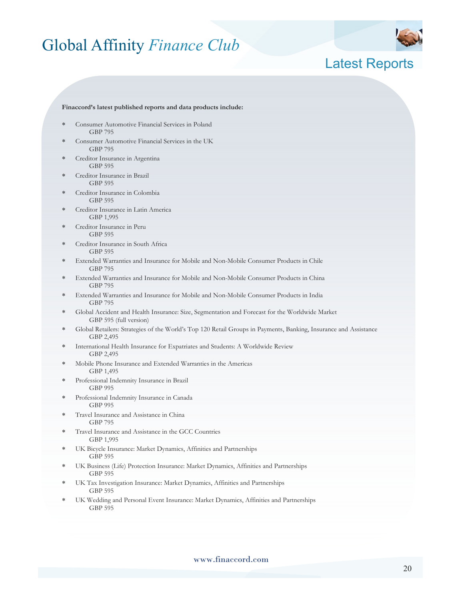

### Latest Reports

#### **Finaccord's latest published reports and data products include:**

- Consumer Automotive Financial Services in Poland GBP 795
- Consumer Automotive Financial Services in the UK GBP 795
- Creditor Insurance in Argentina GBP 595
- Creditor Insurance in Brazil GBP 595
- ∗ Creditor Insurance in Colombia GBP 595
- Creditor Insurance in Latin America GBP 1,995
- Creditor Insurance in Peru GBP 595
- Creditor Insurance in South Africa GBP 595
- Extended Warranties and Insurance for Mobile and Non-Mobile Consumer Products in Chile GBP 795
- Extended Warranties and Insurance for Mobile and Non-Mobile Consumer Products in China GBP 795
- ∗ Extended Warranties and Insurance for Mobile and Non-Mobile Consumer Products in India GBP 795
- ∗ Global Accident and Health Insurance: Size, Segmentation and Forecast for the Worldwide Market GBP 595 (full version)
- ∗ Global Retailers: Strategies of the World's Top 120 Retail Groups in Payments, Banking, Insurance and Assistance GBP 2,495
- International Health Insurance for Expatriates and Students: A Worldwide Review GBP 2,495
- Mobile Phone Insurance and Extended Warranties in the Americas GBP 1,495
- Professional Indemnity Insurance in Brazil GBP 995
- Professional Indemnity Insurance in Canada GBP 995
- ∗ Travel Insurance and Assistance in China GBP 795
- ∗ Travel Insurance and Assistance in the GCC Countries GBP 1,995
- ∗ UK Bicycle Insurance: Market Dynamics, Affinities and Partnerships GBP 595
- UK Business (Life) Protection Insurance: Market Dynamics, Affinities and Partnerships GBP 595
- UK Tax Investigation Insurance: Market Dynamics, Affinities and Partnerships GBP 595
- UK Wedding and Personal Event Insurance: Market Dynamics, Affinities and Partnerships GBP 595